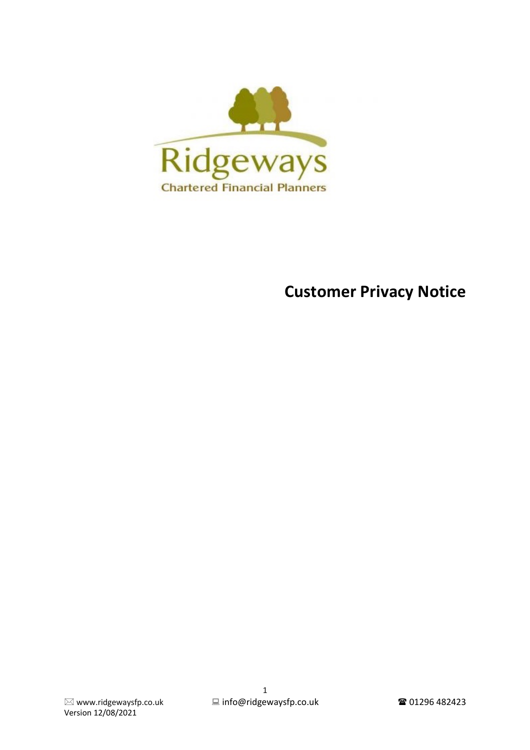

# **Customer Privacy Notice**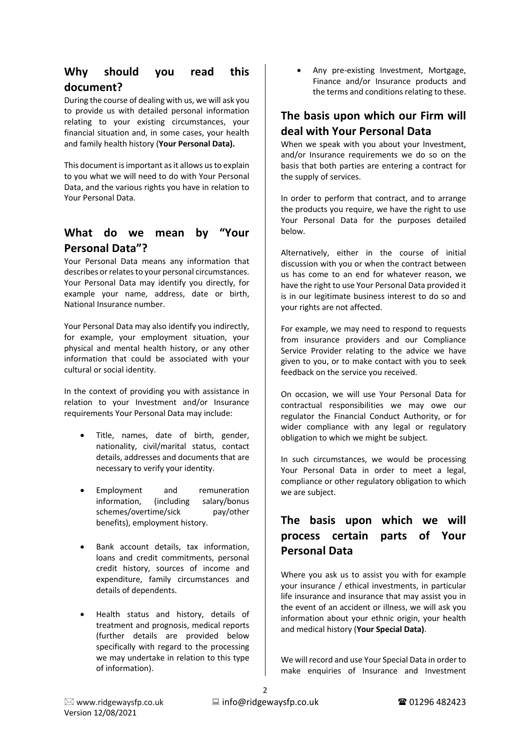#### **Why should you read this document?**

During the course of dealing with us, we will ask you to provide us with detailed personal information relating to your existing circumstances, your financial situation and, in some cases, your health and family health history (**Your Personal Data).**

This document is important as it allows us to explain to you what we will need to do with Your Personal Data, and the various rights you have in relation to Your Personal Data.

#### **What do we mean by "Your Personal Data"?**

Your Personal Data means any information that describes or relates to your personal circumstances. Your Personal Data may identify you directly, for example your name, address, date or birth, National Insurance number.

Your Personal Data may also identify you indirectly, for example, your employment situation, your physical and mental health history, or any other information that could be associated with your cultural or social identity.

In the context of providing you with assistance in relation to your Investment and/or Insurance requirements Your Personal Data may include:

- Title, names, date of birth, gender, nationality, civil/marital status, contact details, addresses and documents that are necessary to verify your identity.
- Employment and remuneration information, (including salary/bonus schemes/overtime/sick pay/other benefits), employment history.
- Bank account details, tax information, loans and credit commitments, personal credit history, sources of income and expenditure, family circumstances and details of dependents.
- Health status and history, details of treatment and prognosis, medical reports (further details are provided below specifically with regard to the processing we may undertake in relation to this type of information).

• Any pre-existing Investment, Mortgage, Finance and/or Insurance products and the terms and conditions relating to these.

#### **The basis upon which our Firm will deal with Your Personal Data**

When we speak with you about your Investment, and/or Insurance requirements we do so on the basis that both parties are entering a contract for the supply of services.

In order to perform that contract, and to arrange the products you require, we have the right to use Your Personal Data for the purposes detailed below.

Alternatively, either in the course of initial discussion with you or when the contract between us has come to an end for whatever reason, we have the right to use Your Personal Data provided it is in our legitimate business interest to do so and your rights are not affected.

For example, we may need to respond to requests from insurance providers and our Compliance Service Provider relating to the advice we have given to you, or to make contact with you to seek feedback on the service you received.

On occasion, we will use Your Personal Data for contractual responsibilities we may owe our regulator the Financial Conduct Authority, or for wider compliance with any legal or regulatory obligation to which we might be subject.

In such circumstances, we would be processing Your Personal Data in order to meet a legal, compliance or other regulatory obligation to which we are subject.

# **The basis upon which we will process certain parts of Your Personal Data**

Where you ask us to assist you with for example your insurance / ethical investments, in particular life insurance and insurance that may assist you in the event of an accident or illness, we will ask you information about your ethnic origin, your health and medical history (**Your Special Data)**.

We will record and use Your Special Data in order to make enquiries of Insurance and Investment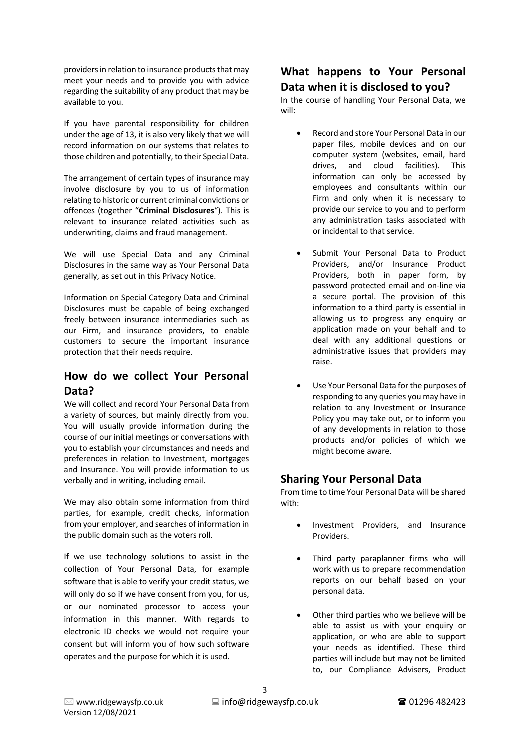providers in relation to insurance products that may meet your needs and to provide you with advice regarding the suitability of any product that may be available to you.

If you have parental responsibility for children under the age of 13, it is also very likely that we will record information on our systems that relates to those children and potentially, to their Special Data.

The arrangement of certain types of insurance may involve disclosure by you to us of information relating to historic or current criminal convictions or offences (together "**Criminal Disclosures**"). This is relevant to insurance related activities such as underwriting, claims and fraud management.

We will use Special Data and any Criminal Disclosures in the same way as Your Personal Data generally, as set out in this Privacy Notice.

Information on Special Category Data and Criminal Disclosures must be capable of being exchanged freely between insurance intermediaries such as our Firm, and insurance providers, to enable customers to secure the important insurance protection that their needs require.

#### **How do we collect Your Personal Data?**

We will collect and record Your Personal Data from a variety of sources, but mainly directly from you. You will usually provide information during the course of our initial meetings or conversations with you to establish your circumstances and needs and preferences in relation to Investment, mortgages and Insurance. You will provide information to us verbally and in writing, including email.

We may also obtain some information from third parties, for example, credit checks, information from your employer, and searches of information in the public domain such as the voters roll.

If we use technology solutions to assist in the collection of Your Personal Data, for example software that is able to verify your credit status, we will only do so if we have consent from you, for us, or our nominated processor to access your information in this manner. With regards to electronic ID checks we would not require your consent but will inform you of how such software operates and the purpose for which it is used.

#### **What happens to Your Personal Data when it is disclosed to you?**

In the course of handling Your Personal Data, we will:

- Record and store Your Personal Data in our paper files, mobile devices and on our computer system (websites, email, hard drives, and cloud facilities). This information can only be accessed by employees and consultants within our Firm and only when it is necessary to provide our service to you and to perform any administration tasks associated with or incidental to that service.
- Submit Your Personal Data to Product Providers, and/or Insurance Product Providers, both in paper form, by password protected email and on-line via a secure portal. The provision of this information to a third party is essential in allowing us to progress any enquiry or application made on your behalf and to deal with any additional questions or administrative issues that providers may raise.
- Use Your Personal Data for the purposes of responding to any queries you may have in relation to any Investment or Insurance Policy you may take out, or to inform you of any developments in relation to those products and/or policies of which we might become aware.

### **Sharing Your Personal Data**

From time to time Your Personal Data will be shared with:

- Investment Providers, and Insurance Providers.
- Third party paraplanner firms who will work with us to prepare recommendation reports on our behalf based on your personal data.
- Other third parties who we believe will be able to assist us with your enquiry or application, or who are able to support your needs as identified. These third parties will include but may not be limited to, our Compliance Advisers, Product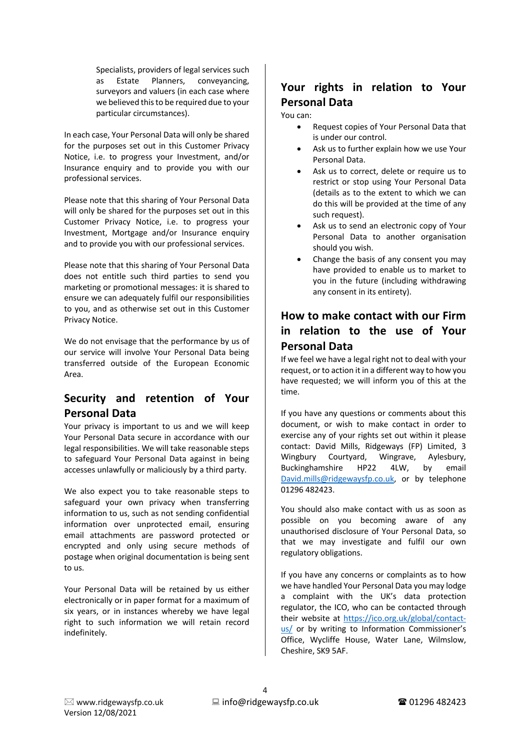Specialists, providers of legal services such as Estate Planners, conveyancing, surveyors and valuers (in each case where we believed this to be required due to your particular circumstances).

In each case, Your Personal Data will only be shared for the purposes set out in this Customer Privacy Notice, i.e. to progress your Investment, and/or Insurance enquiry and to provide you with our professional services.

Please note that this sharing of Your Personal Data will only be shared for the purposes set out in this Customer Privacy Notice, i.e. to progress your Investment, Mortgage and/or Insurance enquiry and to provide you with our professional services.

Please note that this sharing of Your Personal Data does not entitle such third parties to send you marketing or promotional messages: it is shared to ensure we can adequately fulfil our responsibilities to you, and as otherwise set out in this Customer Privacy Notice.

We do not envisage that the performance by us of our service will involve Your Personal Data being transferred outside of the European Economic Area.

# **Security and retention of Your Personal Data**

Your privacy is important to us and we will keep Your Personal Data secure in accordance with our legal responsibilities. We will take reasonable steps to safeguard Your Personal Data against in being accesses unlawfully or maliciously by a third party.

We also expect you to take reasonable steps to safeguard your own privacy when transferring information to us, such as not sending confidential information over unprotected email, ensuring email attachments are password protected or encrypted and only using secure methods of postage when original documentation is being sent to us.

Your Personal Data will be retained by us either electronically or in paper format for a maximum of six years, or in instances whereby we have legal right to such information we will retain record indefinitely.

# **Your rights in relation to Your Personal Data**

You can:

- Request copies of Your Personal Data that is under our control.
- Ask us to further explain how we use Your Personal Data.
- Ask us to correct, delete or require us to restrict or stop using Your Personal Data (details as to the extent to which we can do this will be provided at the time of any such request).
- Ask us to send an electronic copy of Your Personal Data to another organisation should you wish.
- Change the basis of any consent you may have provided to enable us to market to you in the future (including withdrawing any consent in its entirety).

## **How to make contact with our Firm in relation to the use of Your Personal Data**

If we feel we have a legal right not to deal with your request, or to action it in a different way to how you have requested; we will inform you of this at the time.

If you have any questions or comments about this document, or wish to make contact in order to exercise any of your rights set out within it please contact: David Mills, Ridgeways (FP) Limited, 3 Wingbury Courtyard, Wingrave, Aylesbury, Buckinghamshire HP22 4LW, by email David.mills@ridgewaysfp.co.uk, or by telephone 01296 482423.

You should also make contact with us as soon as possible on you becoming aware of any unauthorised disclosure of Your Personal Data, so that we may investigate and fulfil our own regulatory obligations.

If you have any concerns or complaints as to how we have handled Your Personal Data you may lodge a complaint with the UK's data protection regulator, the ICO, who can be contacted through their website at https://ico.org.uk/global/contactus/ or by writing to Information Commissioner's Office, Wycliffe House, Water Lane, Wilmslow, Cheshire, SK9 5AF.